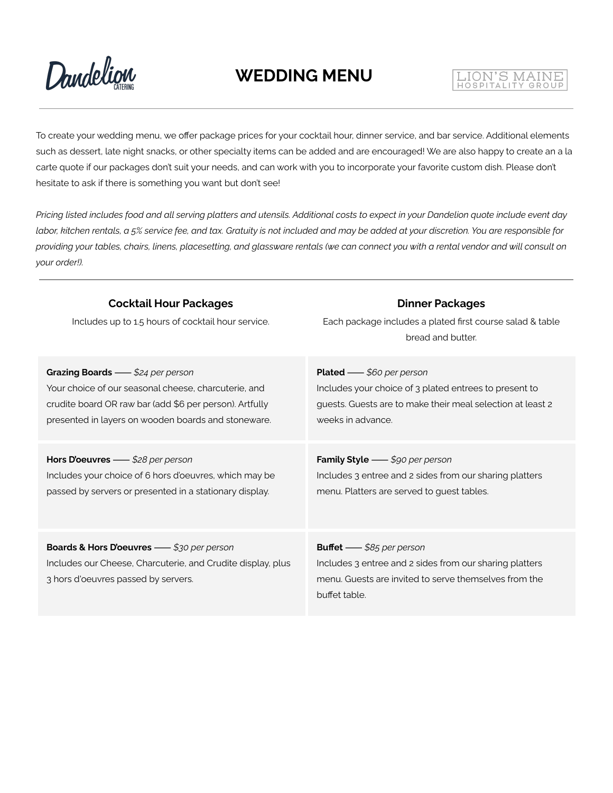

# LION'S MAINE

To create your wedding menu, we offer package prices for your cocktail hour, dinner service, and bar service. Additional elements such as dessert, late night snacks, or other specialty items can be added and are encouraged! We are also happy to create an a la carte quote if our packages don't suit your needs, and can work with you to incorporate your favorite custom dish. Please don't hesitate to ask if there is something you want but don't see!

Pricing listed includes food and all serving platters and utensils. Additional costs to expect in your Dandelion quote include event day labor, kitchen rentals, a 5% service fee, and tax. Gratuity is not included and may be added at your discretion. You are responsible for providing your tables, chairs, linens, placesetting, and glassware rentals (we can connect you with a rental vendor and will consult on *your order!).*

| <b>Cocktail Hour Packages</b><br>Includes up to 1.5 hours of cocktail hour service.                                                             | <b>Dinner Packages</b><br>Each package includes a plated first course salad & table<br>bread and butter.                                                             |
|-------------------------------------------------------------------------------------------------------------------------------------------------|----------------------------------------------------------------------------------------------------------------------------------------------------------------------|
| Grazing Boards - \$24 per person                                                                                                                | <b>Plated</b> — \$60 per person                                                                                                                                      |
| Your choice of our seasonal cheese, charcuterie, and                                                                                            | Includes your choice of 3 plated entrees to present to                                                                                                               |
| crudite board OR raw bar (add \$6 per person). Artfully                                                                                         | guests. Guests are to make their meal selection at least 2                                                                                                           |
| presented in layers on wooden boards and stoneware.                                                                                             | weeks in advance.                                                                                                                                                    |
| Hors D'oeuvres - \$28 per person                                                                                                                | Family Style - \$90 per person                                                                                                                                       |
| Includes your choice of 6 hors d'oeuvres, which may be                                                                                          | Includes 3 entree and 2 sides from our sharing platters                                                                                                              |
| passed by servers or presented in a stationary display.                                                                                         | menu. Platters are served to guest tables.                                                                                                                           |
| Boards & Hors D'oeuvres - \$30 per person<br>Includes our Cheese, Charcuterie, and Crudite display, plus<br>3 hors d'oeuvres passed by servers. | <b>Buffet</b> - \$85 per person<br>Includes 3 entree and 2 sides from our sharing platters<br>menu. Guests are invited to serve themselves from the<br>buffet table. |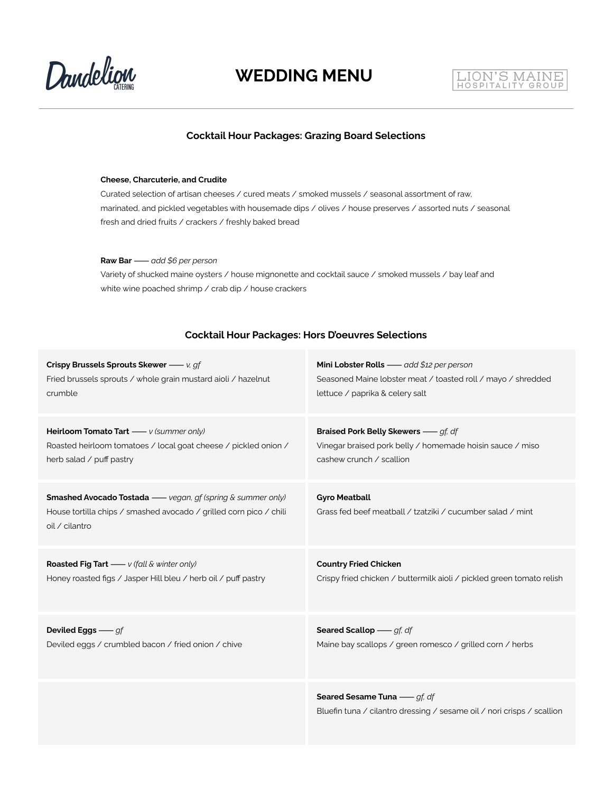



#### **Cocktail Hour Packages: Grazing Board Selections**

#### **Cheese, Charcuterie, and Crudite**

Curated selection of artisan cheeses / cured meats / smoked mussels / seasonal assortment of raw, marinated, and pickled vegetables with housemade dips / olives / house preserves / assorted nuts / seasonal fresh and dried fruits / crackers / freshly baked bread

**Raw Bar**⸺*add \$6 per person*

Variety of shucked maine oysters / house mignonette and cocktail sauce / smoked mussels / bay leaf and white wine poached shrimp / crab dip / house crackers

#### **Cocktail Hour Packages: Hors D'oeuvres Selections**

| Crispy Brussels Sprouts Skewer - v, gf                                                                                                                    | Mini Lobster Rolls - add \$12 per person                                                              |
|-----------------------------------------------------------------------------------------------------------------------------------------------------------|-------------------------------------------------------------------------------------------------------|
| Fried brussels sprouts / whole grain mustard aioli / hazelnut                                                                                             | Seasoned Maine lobster meat / toasted roll / mayo / shredded                                          |
| crumble                                                                                                                                                   | lettuce / paprika & celery salt                                                                       |
| Heirloom Tomato Tart - v (summer only)                                                                                                                    | <b>Braised Pork Belly Skewers</b> - <i>gf. df</i>                                                     |
| Roasted heirloom tomatoes / local goat cheese / pickled onion /                                                                                           | Vinegar braised pork belly / homemade hoisin sauce / miso                                             |
| herb salad / puff pastry                                                                                                                                  | cashew crunch / scallion                                                                              |
| <b>Smashed Avocado Tostada</b> - vegan, gf (spring & summer only)<br>House tortilla chips / smashed avocado / grilled corn pico / chili<br>oil / cilantro | <b>Gyro Meatball</b><br>Grass fed beef meatball / tzatziki / cucumber salad / mint                    |
| <b>Roasted Fig Tart</b> - v (fall & winter only)                                                                                                          | <b>Country Fried Chicken</b>                                                                          |
| Honey roasted figs / Jasper Hill bleu / herb oil / puff pastry                                                                                            | Crispy fried chicken / buttermilk aioli / pickled green tomato relish                                 |
| Deviled Eggs $-$ gf                                                                                                                                       | Seared Scallop - gf, df                                                                               |
| Deviled eggs / crumbled bacon / fried onion / chive                                                                                                       | Maine bay scallops / green romesco / grilled corn / herbs                                             |
|                                                                                                                                                           | Seared Sesame Tuna - gf, df<br>Bluefin tuna / cilantro dressing / sesame oil / nori crisps / scallion |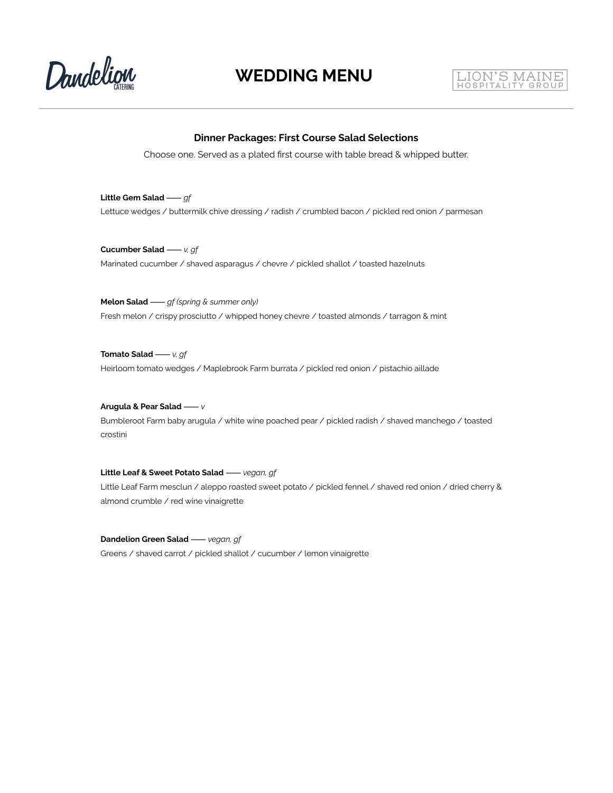



#### **Dinner Packages: First Course Salad Selections**

Choose one. Served as a plated first course with table bread & whipped butter.

**Little Gem Salad**⸺*gf* Lettuce wedges / buttermilk chive dressing / radish / crumbled bacon / pickled red onion / parmesan

**Cucumber Salad**⸺*v, gf* Marinated cucumber / shaved asparagus / chevre / pickled shallot / toasted hazelnuts

**Melon Salad**⸺*gf (spring & summer only)* Fresh melon / crispy prosciutto / whipped honey chevre / toasted almonds / tarragon & mint

**Tomato Salad**⸺*v, gf* Heirloom tomato wedges / Maplebrook Farm burrata / pickled red onion / pistachio aillade

#### **Arugula & Pear Salad**⸺*v*

Bumbleroot Farm baby arugula / white wine poached pear / pickled radish / shaved manchego / toasted crostini

#### **Little Leaf & Sweet Potato Salad**⸺*vegan, gf*

Little Leaf Farm mesclun / aleppo roasted sweet potato / pickled fennel / shaved red onion / dried cherry & almond crumble / red wine vinaigrette

**Dandelion Green Salad**⸺*vegan, gf* Greens / shaved carrot / pickled shallot / cucumber / lemon vinaigrette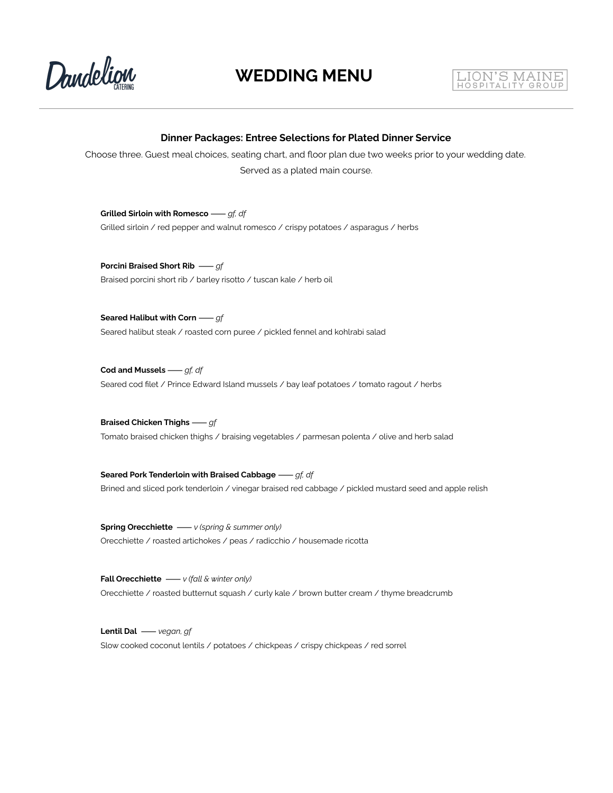



#### **Dinner Packages: Entree Selections for Plated Dinner Service**

Choose three. Guest meal choices, seating chart, and floor plan due two weeks prior to your wedding date. Served as a plated main course.

**Grilled Sirloin with Romesco**⸺*gf, df* Grilled sirloin / red pepper and walnut romesco / crispy potatoes / asparagus / herbs

**Porcini Braised Short Rib** ⸺*gf* Braised porcini short rib / barley risotto / tuscan kale / herb oil

**Seared Halibut with Corn**⸺*gf* Seared halibut steak / roasted corn puree / pickled fennel and kohlrabi salad

**Cod and Mussels**⸺*gf, df* Seared cod filet / Prince Edward Island mussels / bay leaf potatoes / tomato ragout / herbs

**Braised Chicken Thighs**⸺*gf* Tomato braised chicken thighs / braising vegetables / parmesan polenta / olive and herb salad

**Seared Pork Tenderloin with Braised Cabbage**⸺*gf, df* Brined and sliced pork tenderloin / vinegar braised red cabbage / pickled mustard seed and apple relish

**Spring Orecchiette** ⸺*v (spring & summer only)* Orecchiette / roasted artichokes / peas / radicchio / housemade ricotta

**Fall Orecchiette** ⸺*v (fall & winter only)* Orecchiette / roasted butternut squash / curly kale / brown butter cream / thyme breadcrumb

**Lentil Dal** ⸺*vegan, gf* Slow cooked coconut lentils / potatoes / chickpeas / crispy chickpeas / red sorrel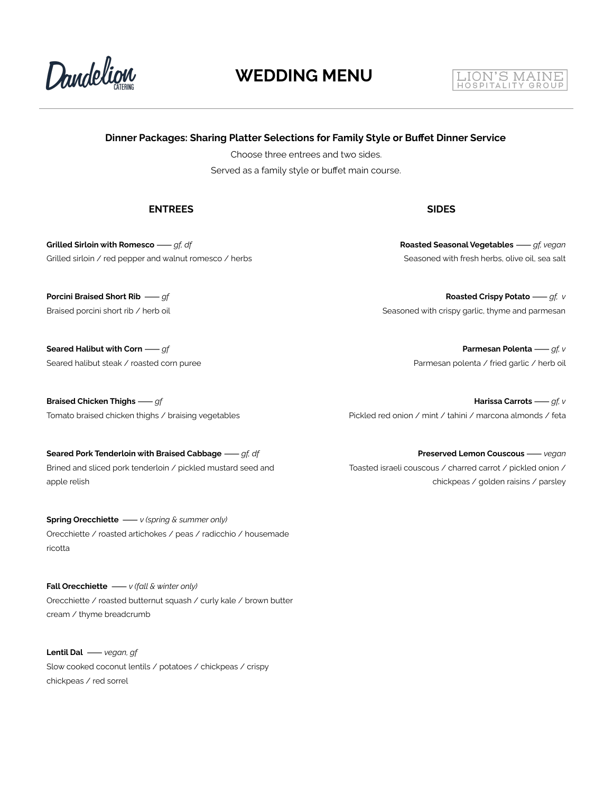

#### LION'S MAINE HOSPITALITY GROUP

#### **Dinner Packages: Sharing Platter Selections for Family Style or Buffet Dinner Service**

Choose three entrees and two sides. Served as a family style or buffet main course.

#### **ENTREES SIDES**

**Grilled Sirloin with Romesco**⸺*gf, df* Grilled sirloin / red pepper and walnut romesco / herbs

**Porcini Braised Short Rib** ⸺*gf* Braised porcini short rib / herb oil

**Seared Halibut with Corn**⸺*gf* Seared halibut steak / roasted corn puree

**Braised Chicken Thighs**⸺*gf* Tomato braised chicken thighs / braising vegetables

**Seared Pork Tenderloin with Braised Cabbage**⸺*gf, df* Brined and sliced pork tenderloin / pickled mustard seed and apple relish

**Spring Orecchiette** ⸺*v (spring & summer only)* Orecchiette / roasted artichokes / peas / radicchio / housemade ricotta

**Fall Orecchiette** ⸺*v (fall & winter only)* Orecchiette / roasted butternut squash / curly kale / brown butter cream / thyme breadcrumb

**Lentil Dal** ⸺*vegan, gf* Slow cooked coconut lentils / potatoes / chickpeas / crispy chickpeas / red sorrel

**Roasted Seasonal Vegetables**⸺*gf, vegan* Seasoned with fresh herbs, olive oil, sea salt

**Roasted Crispy Potato**⸺*gf, v* Seasoned with crispy garlic, thyme and parmesan

> **Parmesan Polenta**⸺*gf, v* Parmesan polenta / fried garlic / herb oil

**Harissa Carrots**⸺*gf, v* Pickled red onion / mint / tahini / marcona almonds / feta

**Preserved Lemon Couscous**⸺*vegan* Toasted israeli couscous / charred carrot / pickled onion / chickpeas / golden raisins / parsley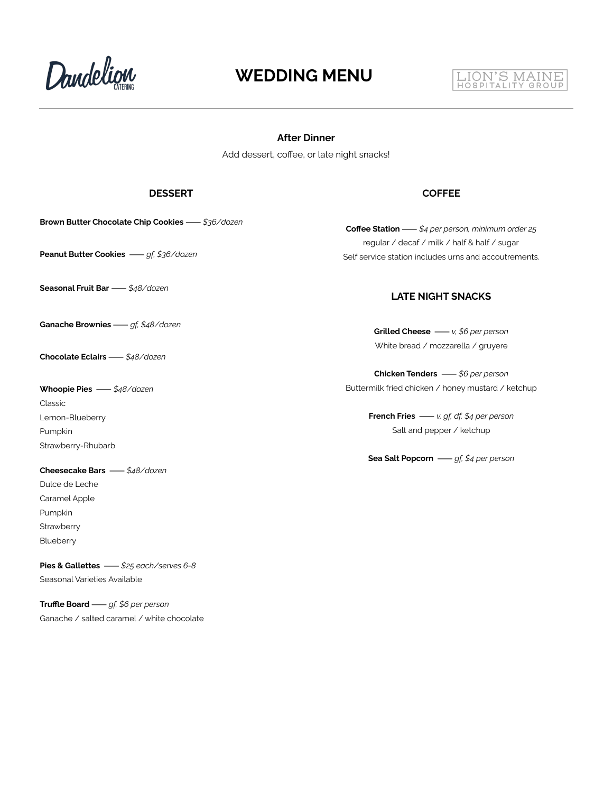Dandelign



#### **After Dinner**

Add dessert, coffee, or late night snacks!

#### **DESSERT COFFEE**

**Brown Butter Chocolate Chip Cookies**⸺*\$36/dozen*

**Seasonal Fruit Bar**⸺*\$48/dozen*

**Ganache Brownies**⸺*gf, \$48/dozen*

**Chocolate Eclairs**⸺*\$48/dozen*

**Whoopie Pies** ⸺*\$48/dozen* Classic Lemon-Blueberry Pumpkin Strawberry-Rhubarb

**Cheesecake Bars** ⸺*\$48/dozen* Dulce de Leche Caramel Apple Pumpkin **Strawberry Blueberry** 

**Pies & Gallettes** ⸺*\$25 each/serves 6-8* Seasonal Varieties Available

**Truffle Board**⸺*gf, \$6 per person* Ganache / salted caramel / white chocolate

**Coffee Station**⸺*\$4 per person, minimum order 25* regular / decaf / milk / half & half / sugar **Peanut Butter Cookies** — gf, \$36/dozen<br>
Self service station includes urns and accoutrements.

#### **LATE NIGHT SNACKS**

**Grilled Cheese** ⸺*v, \$6 per person* White bread / mozzarella / gruyere

**Chicken Tenders** ⸺*\$6 per person* Buttermilk fried chicken / honey mustard / ketchup

> **French Fries** ⸺*v, gf, df, \$4 per person* Salt and pepper / ketchup

> **Sea Salt Popcorn** ⸺*gf, \$4 per person*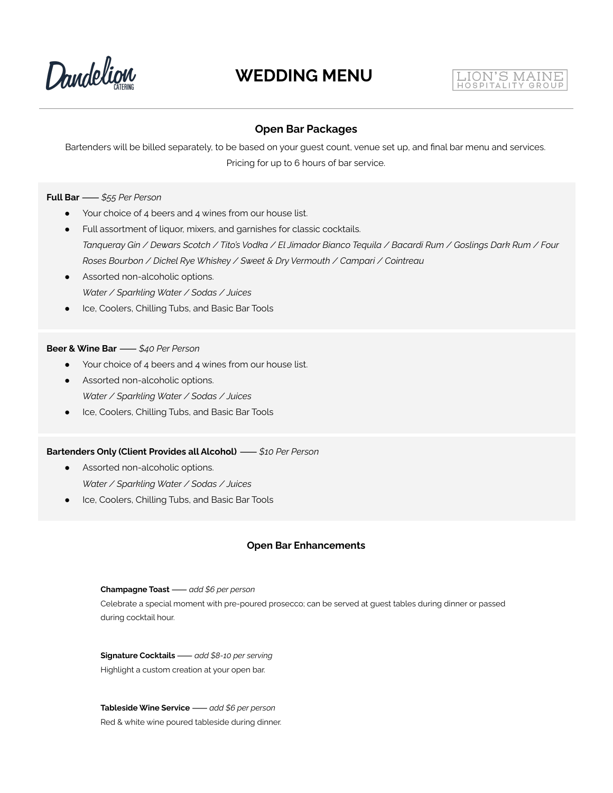



#### **Open Bar Packages**

Bartenders will be billed separately, to be based on your guest count, venue set up, and final bar menu and services. Pricing for up to 6 hours of bar service.

#### **Full Bar**⸺*\$55 Per Person*

- Your choice of 4 beers and 4 wines from our house list.
- Full assortment of liquor, mixers, and garnishes for classic cocktails. Tanqueray Gin / Dewars Scotch / Tito's Vodka / El Jimador Bianco Tequila / Bacardi Rum / Goslings Dark Rum / Four *Roses Bourbon / Dickel Rye Whiskey / Sweet & Dry Vermouth / Campari / Cointreau*
- Assorted non-alcoholic options. *Water / Sparkling Water / Sodas / Juices*
- Ice, Coolers, Chilling Tubs, and Basic Bar Tools

#### **Beer & Wine Bar**⸺*\$40 Per Person*

- Your choice of 4 beers and 4 wines from our house list.
- Assorted non-alcoholic options. *Water / Sparkling Water / Sodas / Juices*
- Ice, Coolers, Chilling Tubs, and Basic Bar Tools

#### **Bartenders Only (Client Provides all Alcohol)** ⸺*\$10 Per Person*

- **•** Assorted non-alcoholic options. *Water / Sparkling Water / Sodas / Juices*
- Ice, Coolers, Chilling Tubs, and Basic Bar Tools

#### **Open Bar Enhancements**

**Champagne Toast**⸺*add \$6 per person* Celebrate a special moment with pre-poured prosecco; can be served at guest tables during dinner or passed during cocktail hour.

**Signature Cocktails**⸺*add \$8-10 per serving* Highlight a custom creation at your open bar.

**Tableside Wine Service**⸺*add \$6 per person* Red & white wine poured tableside during dinner.